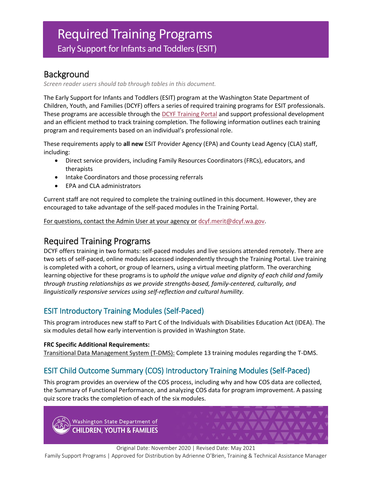# Required Training Programs Early Support for Infants and Toddlers (ESIT)

### Background

*Screen reader users should tab through tables in this document.*

The Early Support for Infants and Toddlers (ESIT) program at the Washington State Department of Children, Youth, and Families (DCYF) offers a series of required training programs for ESIT professionals. These programs are accessible through the [DCYF Training Portal](http://www.dcyftraining.com/) and support professional development and an efficient method to track training completion. The following information outlines each training program and requirements based on an individual's professional role.

These requirements apply to **all new** ESIT Provider Agency (EPA) and County Lead Agency (CLA) staff, including:

- Direct service providers, including Family Resources Coordinators (FRCs), educators, and therapists
- Intake Coordinators and those processing referrals
- EPA and CLA administrators

Current staff are not required to complete the training outlined in this document. However, they are encouraged to take advantage of the self-paced modules in the Training Portal.

For questions, contact the Admin User at your agency or [dcyf.merit@dcyf.wa.gov.](mailto:dcyf.merit@dcyf.wa.gov)

## Required Training Programs

DCYF offers training in two formats: self-paced modules and live sessions attended remotely. There are two sets of self-paced, online modules accessed independently through the Training Portal. Live training is completed with a cohort, or group of learners, using a virtual meeting platform. The overarching learning objective for these programs is to *uphold the unique value and dignity of each child and family through trusting relationships as we provide strengths-based, family-centered, culturally, and linguistically responsive services using self-reflection and cultural humility.*

#### ESIT Introductory Training Modules (Self-Paced)

This program introduces new staff to Part C of the Individuals with Disabilities Education Act (IDEA). The six modules detail how early intervention is provided in Washington State.

#### **FRC Specific Additional Requirements:**

Transitional Data Management System (T-DMS): Complete 13 training modules regarding the T-DMS.

#### ESIT Child Outcome Summary (COS) Introductory Training Modules (Self-Paced)

This program provides an overview of the COS process, including why and how COS data are collected, the Summary of Functional Performance, and analyzing COS data for program improvement. A passing quiz score tracks the completion of each of the six modules.

Washington State Department of **CHILDREN, YOUTH & FAMILIES** 

Original Date: November 2020 | Revised Date: May 2021

Family Support Programs | Approved for Distribution by Adrienne O'Brien, Training & Technical Assistance Manager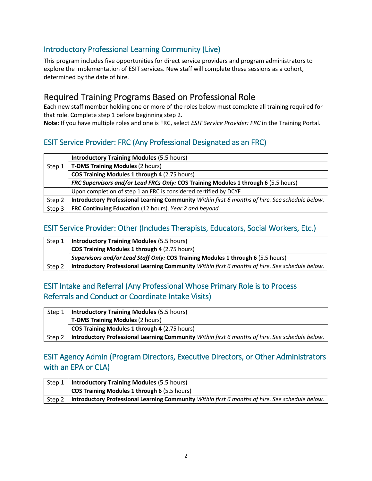#### Introductory Professional Learning Community (Live)

This program includes five opportunities for direct service providers and program administrators to explore the implementation of ESIT services. New staff will complete these sessions as a cohort, determined by the date of hire.

## Required Training Programs Based on Professional Role

Each new staff member holding one or more of the roles below must complete all training required for that role. Complete step 1 before beginning step 2.

**Note**: If you have multiple roles and one is FRC, select *ESIT Service Provider: FRC* in the Training Portal.

#### ESIT Service Provider: FRC (Any Professional Designated as an FRC)

|        | <b>Introductory Training Modules (5.5 hours)</b>                                                |
|--------|-------------------------------------------------------------------------------------------------|
| Step 1 | <b>T-DMS Training Modules (2 hours)</b>                                                         |
|        | COS Training Modules 1 through 4 (2.75 hours)                                                   |
|        | FRC Supervisors and/or Lead FRCs Only: COS Training Modules 1 through 6 (5.5 hours)             |
|        | Upon completion of step 1 an FRC is considered certified by DCYF                                |
| Step 2 | Introductory Professional Learning Community Within first 6 months of hire. See schedule below. |
| Step 3 | FRC Continuing Education (12 hours). Year 2 and beyond.                                         |

#### ESIT Service Provider: Other (Includes Therapists, Educators, Social Workers, Etc.)

| Step 1 | <b>Introductory Training Modules (5.5 hours)</b>                                                |
|--------|-------------------------------------------------------------------------------------------------|
|        | <b>COS Training Modules 1 through 4 (2.75 hours)</b>                                            |
|        | Supervisors and/or Lead Staff Only: COS Training Modules 1 through 6 (5.5 hours)                |
| Step 2 | Introductory Professional Learning Community Within first 6 months of hire. See schedule below. |

#### ESIT Intake and Referral (Any Professional Whose Primary Role is to Process Referrals and Conduct or Coordinate Intake Visits)

| Step 1 | <b>Introductory Training Modules (5.5 hours)</b>                                                |
|--------|-------------------------------------------------------------------------------------------------|
|        | <b>T-DMS Training Modules (2 hours)</b>                                                         |
|        | <b>COS Training Modules 1 through 4 (2.75 hours)</b>                                            |
| Step 2 | Introductory Professional Learning Community Within first 6 months of hire. See schedule below. |

#### ESIT Agency Admin (Program Directors, Executive Directors, or Other Administrators with an EPA or CLA)

|        | Step 1   Introductory Training Modules (5.5 hours)                                              |
|--------|-------------------------------------------------------------------------------------------------|
|        | <b>COS Training Modules 1 through 6 (5.5 hours)</b>                                             |
| Step 2 | Introductory Professional Learning Community Within first 6 months of hire. See schedule below. |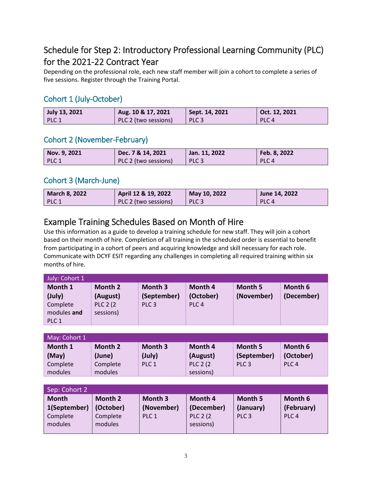## Schedule for Step 2: Introductory Professional Learning Community (PLC) for the 2021-22 Contract Year

Depending on the professional role, each new staff member will join a cohort to complete a series of five sessions. Register through the Training Portal.

## Cohort 1 (July-October)

| July 13, 2021   | Aug. 10 & 17, 2021   | Sept. 14, 2021   | $\bigcup$ Oct. 12, 2021 |
|-----------------|----------------------|------------------|-------------------------|
| $\mathsf{PLC}1$ | PLC 2 (two sessions) | PLC <sub>3</sub> | PLC <sub>4</sub>        |

#### Cohort 2 (November-February)

| Nov. 9, 2021 | Dec. 7 & 14, 2021    | Jan. $11, 2022$  | Feb. 8, 2022     |
|--------------|----------------------|------------------|------------------|
| PLC 1        | PLC 2 (two sessions) | PLC <sub>3</sub> | PLC <sub>4</sub> |

#### Cohort 3 (March-June)

| <b>March 8, 2022</b> | April 12 & 19, 2022  | May 10, 2022     | June 14, 2022    |
|----------------------|----------------------|------------------|------------------|
| PLC 1                | PLC 2 (two sessions) | PLC <sub>3</sub> | PLC <sub>4</sub> |

## Example Training Schedules Based on Month of Hire

Use this information as a guide to develop a training schedule for new staff. They will join a cohort based on their month of hire. Completion of all training in the scheduled order is essential to benefit from participating in a cohort of peers and acquiring knowledge and skill necessary for each role. Communicate with DCYF ESIT regarding any challenges in completing all required training within six months of hire.

| July: Cohort 1   |                  |                  |                  |            |            |
|------------------|------------------|------------------|------------------|------------|------------|
| Month 1          | Month 2          | Month 3          | Month 4          | Month 5    | Month 6    |
| (July)           | (August)         | (September)      | (October)        | (November) | (December) |
| Complete         | <b>PLC 2 (2)</b> | PLC <sub>3</sub> | PLC <sub>4</sub> |            |            |
| modules and      | sessions)        |                  |                  |            |            |
| PLC <sub>1</sub> |                  |                  |                  |            |            |

| May: Cohort 1 |          |                  |                  |                  |                  |  |  |
|---------------|----------|------------------|------------------|------------------|------------------|--|--|
| Month 1       | Month 2  | Month 3          | Month 4          | Month 5          | Month 6          |  |  |
| (May)         | (June)   | $(\text{July})$  | (August)         | (September)      | (October)        |  |  |
| Complete      | Complete | PLC <sub>1</sub> | <b>PLC 2 (2)</b> | PLC <sub>3</sub> | PLC <sub>4</sub> |  |  |
| modules       | modules  |                  | sessions)        |                  |                  |  |  |

| Sep: Cohort 2                |                      |                       |                               |                      |                       |  |  |  |
|------------------------------|----------------------|-----------------------|-------------------------------|----------------------|-----------------------|--|--|--|
| <b>Month</b><br>1(September) | Month 2<br>(October) | Month 3<br>(November) | Month 4<br>(December)         | Month 5<br>(January) | Month 6<br>(February) |  |  |  |
| Complete<br>modules          | Complete<br>modules  | PLC 1                 | <b>PLC 2 (2)</b><br>sessions) | PLC <sub>3</sub>     | PLC <sub>4</sub>      |  |  |  |